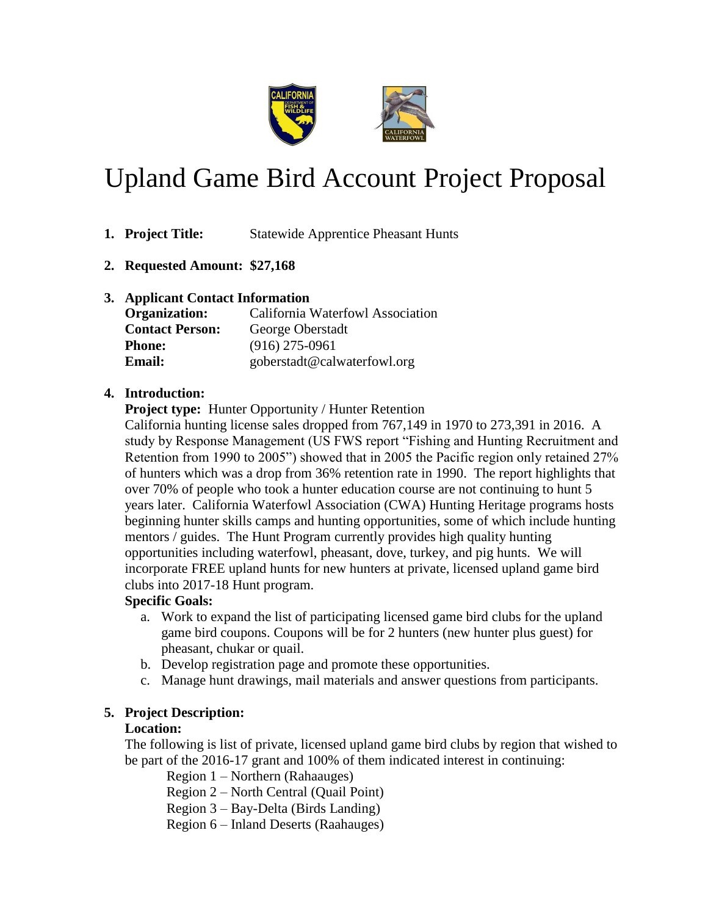

# Upland Game Bird Account Project Proposal

- **1. Project Title:** Statewide Apprentice Pheasant Hunts
- **2. Requested Amount: \$27,168**
- **3. Applicant Contact Information**

| <b>Organization:</b>   | California Waterfowl Association |  |  |  |
|------------------------|----------------------------------|--|--|--|
| <b>Contact Person:</b> | George Oberstadt                 |  |  |  |
| <b>Phone:</b>          | $(916)$ 275-0961                 |  |  |  |
| <b>Email:</b>          | goberstadt@calwaterfowl.org      |  |  |  |

### **4. Introduction:**

**Project type:** Hunter Opportunity / Hunter Retention

California hunting license sales dropped from 767,149 in 1970 to 273,391 in 2016. A study by Response Management (US FWS report "Fishing and Hunting Recruitment and Retention from 1990 to 2005") showed that in 2005 the Pacific region only retained 27% of hunters which was a drop from 36% retention rate in 1990. The report highlights that over 70% of people who took a hunter education course are not continuing to hunt 5 years later. California Waterfowl Association (CWA) Hunting Heritage programs hosts beginning hunter skills camps and hunting opportunities, some of which include hunting mentors / guides. The Hunt Program currently provides high quality hunting opportunities including waterfowl, pheasant, dove, turkey, and pig hunts. We will incorporate FREE upland hunts for new hunters at private, licensed upland game bird clubs into 2017-18 Hunt program.

# **Specific Goals:**

- a. Work to expand the list of participating licensed game bird clubs for the upland game bird coupons. Coupons will be for 2 hunters (new hunter plus guest) for pheasant, chukar or quail.
- b. Develop registration page and promote these opportunities.
- c. Manage hunt drawings, mail materials and answer questions from participants.

# **5. Project Description:**

# **Location:**

The following is list of private, licensed upland game bird clubs by region that wished to be part of the 2016-17 grant and 100% of them indicated interest in continuing:

Region 1 – Northern (Rahaauges)

Region 2 – North Central (Quail Point)

Region 3 – Bay-Delta (Birds Landing)

Region 6 – Inland Deserts (Raahauges)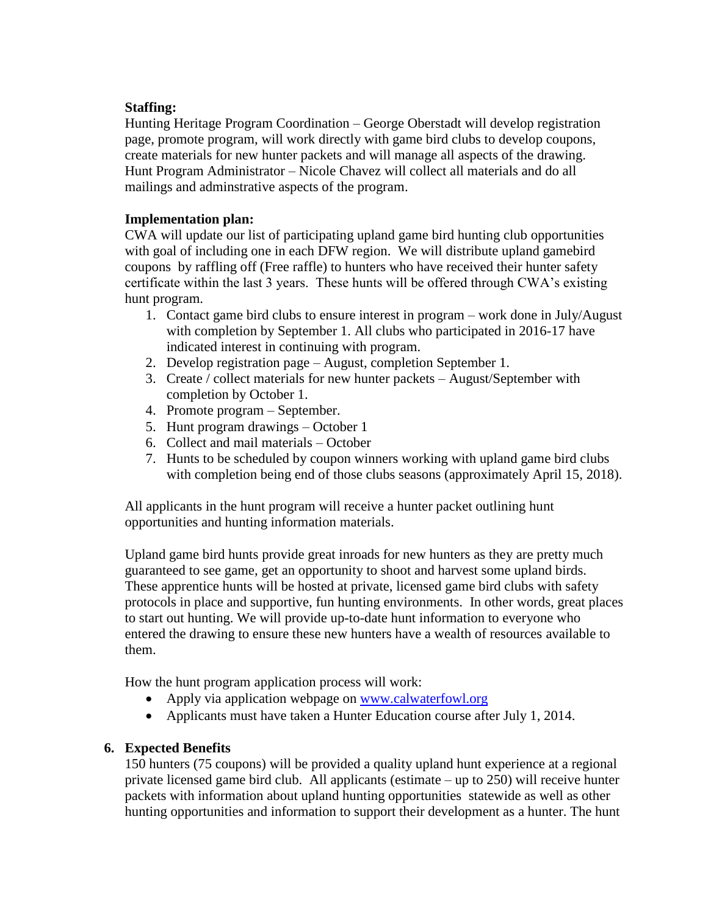### **Staffing:**

Hunting Heritage Program Coordination – George Oberstadt will develop registration page, promote program, will work directly with game bird clubs to develop coupons, create materials for new hunter packets and will manage all aspects of the drawing. Hunt Program Administrator – Nicole Chavez will collect all materials and do all mailings and adminstrative aspects of the program.

### **Implementation plan:**

CWA will update our list of participating upland game bird hunting club opportunities with goal of including one in each DFW region. We will distribute upland gamebird coupons by raffling off (Free raffle) to hunters who have received their hunter safety certificate within the last 3 years. These hunts will be offered through CWA's existing hunt program.

- 1. Contact game bird clubs to ensure interest in program work done in July/August with completion by September 1. All clubs who participated in 2016-17 have indicated interest in continuing with program.
- 2. Develop registration page August, completion September 1.
- 3. Create / collect materials for new hunter packets August/September with completion by October 1.
- 4. Promote program September.
- 5. Hunt program drawings October 1
- 6. Collect and mail materials October
- 7. Hunts to be scheduled by coupon winners working with upland game bird clubs with completion being end of those clubs seasons (approximately April 15, 2018).

All applicants in the hunt program will receive a hunter packet outlining hunt opportunities and hunting information materials.

Upland game bird hunts provide great inroads for new hunters as they are pretty much guaranteed to see game, get an opportunity to shoot and harvest some upland birds. These apprentice hunts will be hosted at private, licensed game bird clubs with safety protocols in place and supportive, fun hunting environments. In other words, great places to start out hunting. We will provide up-to-date hunt information to everyone who entered the drawing to ensure these new hunters have a wealth of resources available to them.

How the hunt program application process will work:

- Apply via application webpage on [www.calwaterfowl.org](http://www.calwaterfowl.org/)
- Applicants must have taken a Hunter Education course after July 1, 2014.

#### **6. Expected Benefits**

150 hunters (75 coupons) will be provided a quality upland hunt experience at a regional private licensed game bird club. All applicants (estimate – up to 250) will receive hunter packets with information about upland hunting opportunities statewide as well as other hunting opportunities and information to support their development as a hunter. The hunt